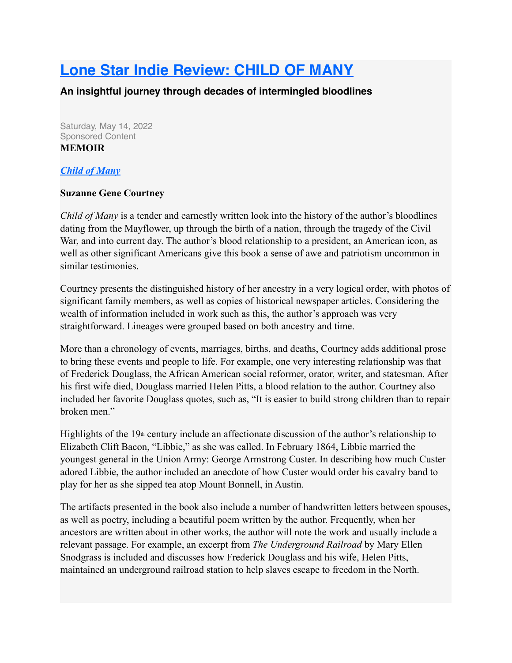## **[Lone Star Indie Review: CHILD OF MANY](https://www.lonestarliterary.com/content/lone-star-indie-review-child-many)**

**An insightful journey through decades of intermingled bloodlines**

Saturday, May 14, 2022 Sponsored Content **MEMOIR**

## *[Child of Many](https://www.amazon.com/Child-Many-Suzanne-Gene-Courtney/dp/1682355683)*

## **Suzanne Gene Courtney**

*Child of Many* is a tender and earnestly written look into the history of the author's bloodlines dating from the Mayflower, up through the birth of a nation, through the tragedy of the Civil War, and into current day. The author's blood relationship to a president, an American icon, as well as other significant Americans give this book a sense of awe and patriotism uncommon in similar testimonies.

Courtney presents the distinguished history of her ancestry in a very logical order, with photos of significant family members, as well as copies of historical newspaper articles. Considering the wealth of information included in work such as this, the author's approach was very straightforward. Lineages were grouped based on both ancestry and time.

More than a chronology of events, marriages, births, and deaths, Courtney adds additional prose to bring these events and people to life. For example, one very interesting relationship was that of Frederick Douglass, the African American social reformer, orator, writer, and statesman. After his first wife died, Douglass married Helen Pitts, a blood relation to the author. Courtney also included her favorite Douglass quotes, such as, "It is easier to build strong children than to repair broken men."

Highlights of the 19<sup>th</sup> century include an affectionate discussion of the author's relationship to Elizabeth Clift Bacon, "Libbie," as she was called. In February 1864, Libbie married the youngest general in the Union Army: George Armstrong Custer. In describing how much Custer adored Libbie, the author included an anecdote of how Custer would order his cavalry band to play for her as she sipped tea atop Mount Bonnell, in Austin.

The artifacts presented in the book also include a number of handwritten letters between spouses, as well as poetry, including a beautiful poem written by the author. Frequently, when her ancestors are written about in other works, the author will note the work and usually include a relevant passage. For example, an excerpt from *The Underground Railroad* by Mary Ellen Snodgrass is included and discusses how Frederick Douglass and his wife, Helen Pitts, maintained an underground railroad station to help slaves escape to freedom in the North.